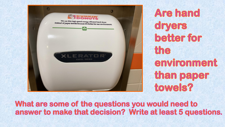

**Are hand** dryers better for the environment than paper towels?

## What are some of the questions you would need to answer to make that decision? Write at least 5 questions.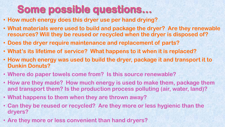## Some possible questions...

- **How much energy does this dryer use per hand drying?**
- **What materials were used to build and package the dryer? Are they renewable resources? Will they be reused or recycled when the dryer is disposed of?**
- **Does the dryer require maintenance and replacement of parts?**
- **What's its lifetime of service? What happens to it when it is replaced?**
- **How much energy was used to build the dryer, package it and transport it to Dunkin Donuts?**
- **Where do paper towels come from? Is this source renewable?**
- **How are they made? How much energy is used to make them, package them and transport them? Is the production process polluting (air, water, land)?**
- **What happens to them when they are thrown away?**
- **Can they be reused or recycled? Are they more or less hygienic than the dryers?**
- **Are they more or less convenient than hand dryers?**